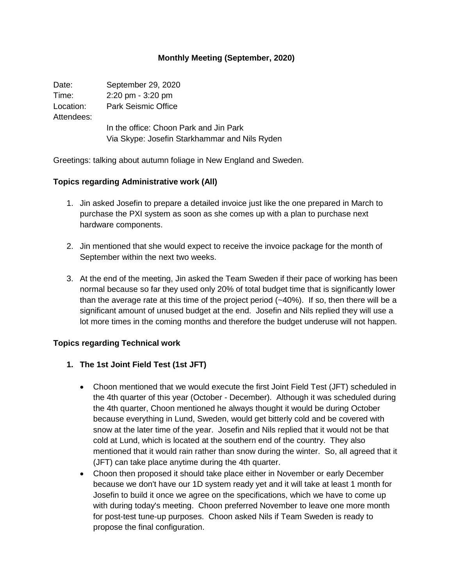### **Monthly Meeting (September, 2020)**

| Date:      | September 29, 2020                            |
|------------|-----------------------------------------------|
| Time:      | $2:20 \text{ pm} - 3:20 \text{ pm}$           |
| Location:  | <b>Park Seismic Office</b>                    |
| Attendees: |                                               |
|            | In the office: Choon Park and Jin Park        |
|            | Via Skype: Josefin Starkhammar and Nils Ryden |

Greetings: talking about autumn foliage in New England and Sweden.

#### **Topics regarding Administrative work (All)**

- 1. Jin asked Josefin to prepare a detailed invoice just like the one prepared in March to purchase the PXI system as soon as she comes up with a plan to purchase next hardware components.
- 2. Jin mentioned that she would expect to receive the invoice package for the month of September within the next two weeks.
- 3. At the end of the meeting, Jin asked the Team Sweden if their pace of working has been normal because so far they used only 20% of total budget time that is significantly lower than the average rate at this time of the project period  $(-40\%)$ . If so, then there will be a significant amount of unused budget at the end. Josefin and Nils replied they will use a lot more times in the coming months and therefore the budget underuse will not happen.

#### **Topics regarding Technical work**

#### **1. The 1st Joint Field Test (1st JFT)**

- Choon mentioned that we would execute the first Joint Field Test (JFT) scheduled in the 4th quarter of this year (October - December). Although it was scheduled during the 4th quarter, Choon mentioned he always thought it would be during October because everything in Lund, Sweden, would get bitterly cold and be covered with snow at the later time of the year. Josefin and Nils replied that it would not be that cold at Lund, which is located at the southern end of the country. They also mentioned that it would rain rather than snow during the winter. So, all agreed that it (JFT) can take place anytime during the 4th quarter.
- Choon then proposed it should take place either in November or early December because we don't have our 1D system ready yet and it will take at least 1 month for Josefin to build it once we agree on the specifications, which we have to come up with during today's meeting. Choon preferred November to leave one more month for post-test tune-up purposes. Choon asked Nils if Team Sweden is ready to propose the final configuration.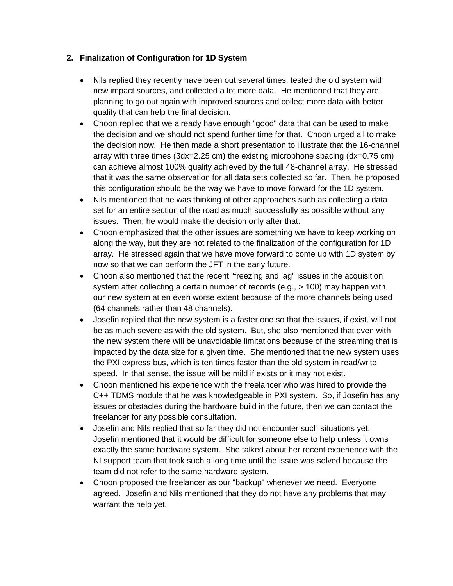## **2. Finalization of Configuration for 1D System**

- Nils replied they recently have been out several times, tested the old system with new impact sources, and collected a lot more data. He mentioned that they are planning to go out again with improved sources and collect more data with better quality that can help the final decision.
- Choon replied that we already have enough "good" data that can be used to make the decision and we should not spend further time for that. Choon urged all to make the decision now. He then made a short presentation to illustrate that the 16-channel array with three times (3dx=2.25 cm) the existing microphone spacing (dx=0.75 cm) can achieve almost 100% quality achieved by the full 48-channel array. He stressed that it was the same observation for all data sets collected so far. Then, he proposed this configuration should be the way we have to move forward for the 1D system.
- Nils mentioned that he was thinking of other approaches such as collecting a data set for an entire section of the road as much successfully as possible without any issues. Then, he would make the decision only after that.
- Choon emphasized that the other issues are something we have to keep working on along the way, but they are not related to the finalization of the configuration for 1D array. He stressed again that we have move forward to come up with 1D system by now so that we can perform the JFT in the early future.
- Choon also mentioned that the recent "freezing and lag" issues in the acquisition system after collecting a certain number of records (e.g., > 100) may happen with our new system at en even worse extent because of the more channels being used (64 channels rather than 48 channels).
- Josefin replied that the new system is a faster one so that the issues, if exist, will not be as much severe as with the old system. But, she also mentioned that even with the new system there will be unavoidable limitations because of the streaming that is impacted by the data size for a given time. She mentioned that the new system uses the PXI express bus, which is ten times faster than the old system in read/write speed. In that sense, the issue will be mild if exists or it may not exist.
- Choon mentioned his experience with the freelancer who was hired to provide the C++ TDMS module that he was knowledgeable in PXI system. So, if Josefin has any issues or obstacles during the hardware build in the future, then we can contact the freelancer for any possible consultation.
- Josefin and Nils replied that so far they did not encounter such situations yet. Josefin mentioned that it would be difficult for someone else to help unless it owns exactly the same hardware system. She talked about her recent experience with the NI support team that took such a long time until the issue was solved because the team did not refer to the same hardware system.
- Choon proposed the freelancer as our "backup" whenever we need. Everyone agreed. Josefin and Nils mentioned that they do not have any problems that may warrant the help yet.